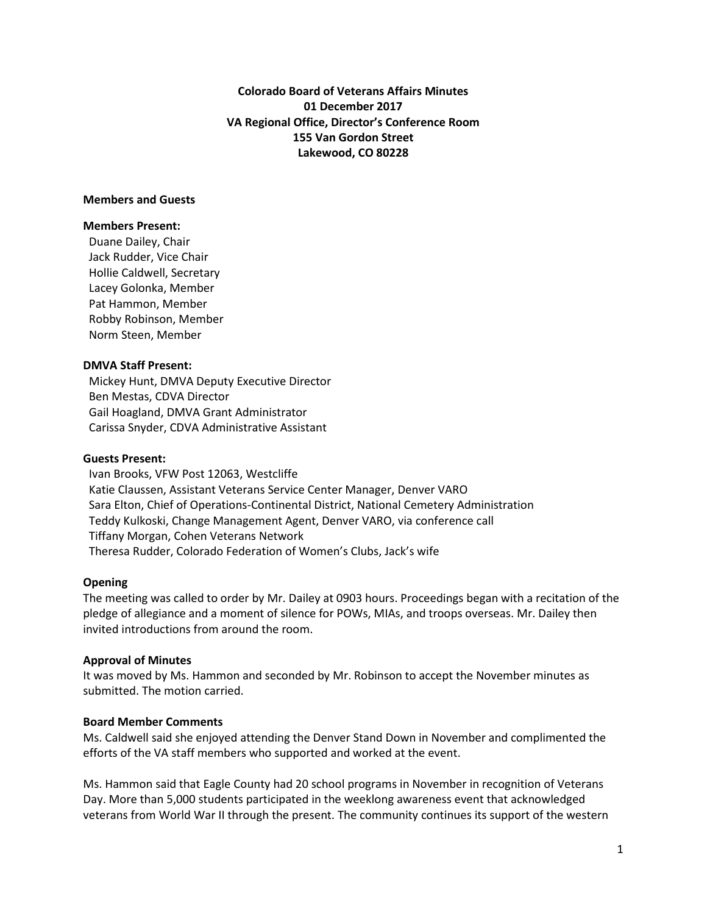**Colorado Board of Veterans Affairs Minutes 01 December 2017 VA Regional Office, Director's Conference Room 155 Van Gordon Street Lakewood, CO 80228**

#### **Members and Guests**

#### **Members Present:**

Duane Dailey, Chair Jack Rudder, Vice Chair Hollie Caldwell, Secretary Lacey Golonka, Member Pat Hammon, Member Robby Robinson, Member Norm Steen, Member

# **DMVA Staff Present:**

 Mickey Hunt, DMVA Deputy Executive Director Ben Mestas, CDVA Director Gail Hoagland, DMVA Grant Administrator Carissa Snyder, CDVA Administrative Assistant

#### **Guests Present:**

 Ivan Brooks, VFW Post 12063, Westcliffe Katie Claussen, Assistant Veterans Service Center Manager, Denver VARO Sara Elton, Chief of Operations-Continental District, National Cemetery Administration Teddy Kulkoski, Change Management Agent, Denver VARO, via conference call Tiffany Morgan, Cohen Veterans Network Theresa Rudder, Colorado Federation of Women's Clubs, Jack's wife

# **Opening**

The meeting was called to order by Mr. Dailey at 0903 hours. Proceedings began with a recitation of the pledge of allegiance and a moment of silence for POWs, MIAs, and troops overseas. Mr. Dailey then invited introductions from around the room.

# **Approval of Minutes**

It was moved by Ms. Hammon and seconded by Mr. Robinson to accept the November minutes as submitted. The motion carried.

# **Board Member Comments**

Ms. Caldwell said she enjoyed attending the Denver Stand Down in November and complimented the efforts of the VA staff members who supported and worked at the event.

Ms. Hammon said that Eagle County had 20 school programs in November in recognition of Veterans Day. More than 5,000 students participated in the weeklong awareness event that acknowledged veterans from World War II through the present. The community continues its support of the western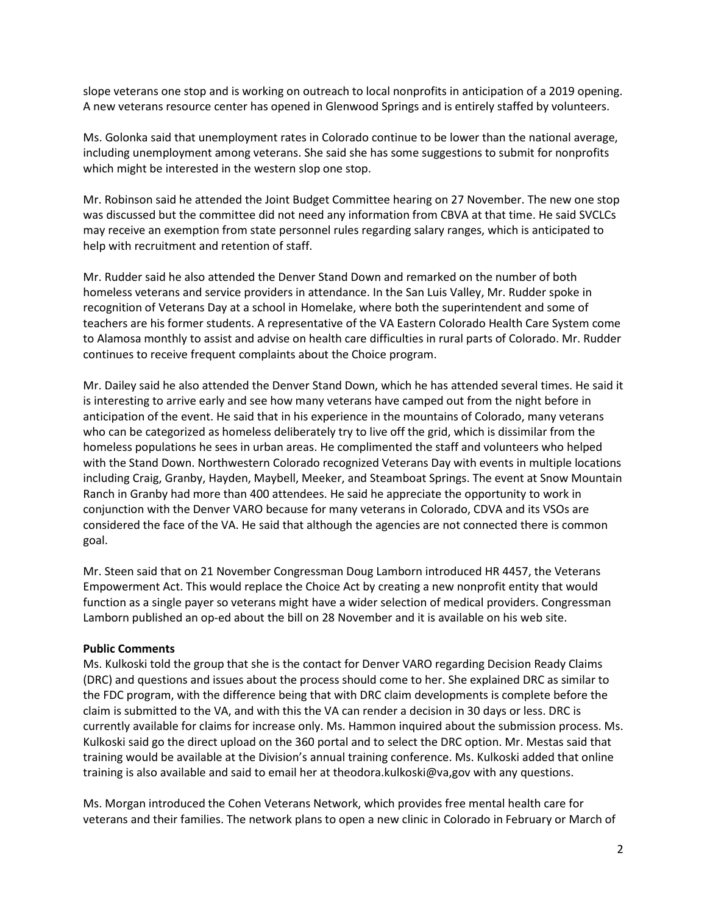slope veterans one stop and is working on outreach to local nonprofits in anticipation of a 2019 opening. A new veterans resource center has opened in Glenwood Springs and is entirely staffed by volunteers.

Ms. Golonka said that unemployment rates in Colorado continue to be lower than the national average, including unemployment among veterans. She said she has some suggestions to submit for nonprofits which might be interested in the western slop one stop.

Mr. Robinson said he attended the Joint Budget Committee hearing on 27 November. The new one stop was discussed but the committee did not need any information from CBVA at that time. He said SVCLCs may receive an exemption from state personnel rules regarding salary ranges, which is anticipated to help with recruitment and retention of staff.

Mr. Rudder said he also attended the Denver Stand Down and remarked on the number of both homeless veterans and service providers in attendance. In the San Luis Valley, Mr. Rudder spoke in recognition of Veterans Day at a school in Homelake, where both the superintendent and some of teachers are his former students. A representative of the VA Eastern Colorado Health Care System come to Alamosa monthly to assist and advise on health care difficulties in rural parts of Colorado. Mr. Rudder continues to receive frequent complaints about the Choice program.

Mr. Dailey said he also attended the Denver Stand Down, which he has attended several times. He said it is interesting to arrive early and see how many veterans have camped out from the night before in anticipation of the event. He said that in his experience in the mountains of Colorado, many veterans who can be categorized as homeless deliberately try to live off the grid, which is dissimilar from the homeless populations he sees in urban areas. He complimented the staff and volunteers who helped with the Stand Down. Northwestern Colorado recognized Veterans Day with events in multiple locations including Craig, Granby, Hayden, Maybell, Meeker, and Steamboat Springs. The event at Snow Mountain Ranch in Granby had more than 400 attendees. He said he appreciate the opportunity to work in conjunction with the Denver VARO because for many veterans in Colorado, CDVA and its VSOs are considered the face of the VA. He said that although the agencies are not connected there is common goal.

Mr. Steen said that on 21 November Congressman Doug Lamborn introduced HR 4457, the Veterans Empowerment Act. This would replace the Choice Act by creating a new nonprofit entity that would function as a single payer so veterans might have a wider selection of medical providers. Congressman Lamborn published an op-ed about the bill on 28 November and it is available on his web site.

# **Public Comments**

Ms. Kulkoski told the group that she is the contact for Denver VARO regarding Decision Ready Claims (DRC) and questions and issues about the process should come to her. She explained DRC as similar to the FDC program, with the difference being that with DRC claim developments is complete before the claim is submitted to the VA, and with this the VA can render a decision in 30 days or less. DRC is currently available for claims for increase only. Ms. Hammon inquired about the submission process. Ms. Kulkoski said go the direct upload on the 360 portal and to select the DRC option. Mr. Mestas said that training would be available at the Division's annual training conference. Ms. Kulkoski added that online training is also available and said to email her at theodora.kulkoski@va,gov with any questions.

Ms. Morgan introduced the Cohen Veterans Network, which provides free mental health care for veterans and their families. The network plans to open a new clinic in Colorado in February or March of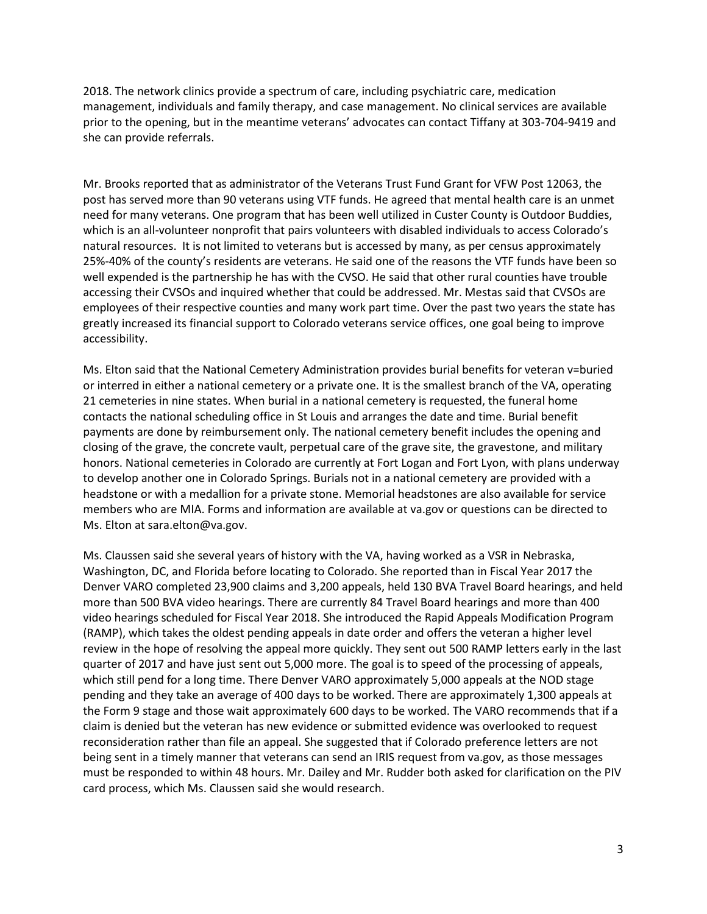2018. The network clinics provide a spectrum of care, including psychiatric care, medication management, individuals and family therapy, and case management. No clinical services are available prior to the opening, but in the meantime veterans' advocates can contact Tiffany at 303-704-9419 and she can provide referrals.

Mr. Brooks reported that as administrator of the Veterans Trust Fund Grant for VFW Post 12063, the post has served more than 90 veterans using VTF funds. He agreed that mental health care is an unmet need for many veterans. One program that has been well utilized in Custer County is Outdoor Buddies, which is an all-volunteer nonprofit that pairs volunteers with disabled individuals to access Colorado's natural resources. It is not limited to veterans but is accessed by many, as per census approximately 25%-40% of the county's residents are veterans. He said one of the reasons the VTF funds have been so well expended is the partnership he has with the CVSO. He said that other rural counties have trouble accessing their CVSOs and inquired whether that could be addressed. Mr. Mestas said that CVSOs are employees of their respective counties and many work part time. Over the past two years the state has greatly increased its financial support to Colorado veterans service offices, one goal being to improve accessibility.

Ms. Elton said that the National Cemetery Administration provides burial benefits for veteran v=buried or interred in either a national cemetery or a private one. It is the smallest branch of the VA, operating 21 cemeteries in nine states. When burial in a national cemetery is requested, the funeral home contacts the national scheduling office in St Louis and arranges the date and time. Burial benefit payments are done by reimbursement only. The national cemetery benefit includes the opening and closing of the grave, the concrete vault, perpetual care of the grave site, the gravestone, and military honors. National cemeteries in Colorado are currently at Fort Logan and Fort Lyon, with plans underway to develop another one in Colorado Springs. Burials not in a national cemetery are provided with a headstone or with a medallion for a private stone. Memorial headstones are also available for service members who are MIA. Forms and information are available at va.gov or questions can be directed to Ms. Elton at sara.elton@va.gov.

Ms. Claussen said she several years of history with the VA, having worked as a VSR in Nebraska, Washington, DC, and Florida before locating to Colorado. She reported than in Fiscal Year 2017 the Denver VARO completed 23,900 claims and 3,200 appeals, held 130 BVA Travel Board hearings, and held more than 500 BVA video hearings. There are currently 84 Travel Board hearings and more than 400 video hearings scheduled for Fiscal Year 2018. She introduced the Rapid Appeals Modification Program (RAMP), which takes the oldest pending appeals in date order and offers the veteran a higher level review in the hope of resolving the appeal more quickly. They sent out 500 RAMP letters early in the last quarter of 2017 and have just sent out 5,000 more. The goal is to speed of the processing of appeals, which still pend for a long time. There Denver VARO approximately 5,000 appeals at the NOD stage pending and they take an average of 400 days to be worked. There are approximately 1,300 appeals at the Form 9 stage and those wait approximately 600 days to be worked. The VARO recommends that if a claim is denied but the veteran has new evidence or submitted evidence was overlooked to request reconsideration rather than file an appeal. She suggested that if Colorado preference letters are not being sent in a timely manner that veterans can send an IRIS request from va.gov, as those messages must be responded to within 48 hours. Mr. Dailey and Mr. Rudder both asked for clarification on the PIV card process, which Ms. Claussen said she would research.